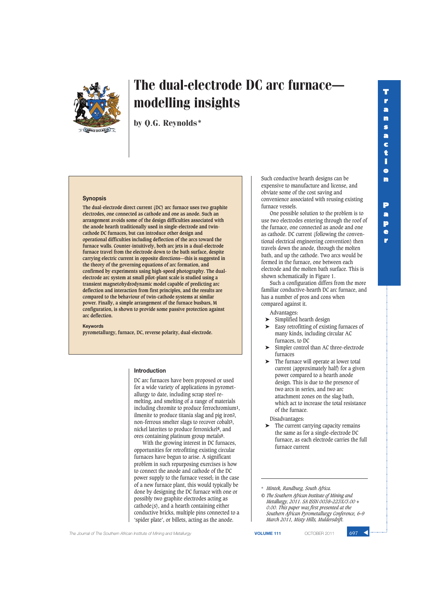**r**



# The dual-electrode DC arc furnacemodelling insights

by Q.G. Reynolds\*

## **Synopsis**

**The dual-electrode direct current (DC) arc furnace uses two graphite electrodes, one connected as cathode and one as anode. Such an arrangement avoids some of the design difficulties associated with the anode hearth traditionally used in single-electrode and twincathode DC furnaces, but can introduce other design and operational difficulties including deflection of the arcs toward the furnace walls. Counter-intuitively, both arc jets in a dual-electrode furnace travel from the electrode down to the bath surface, despite carrying electric current in opposite directions—this is suggested in the theory of the governing equations of arc formation, and confirmed by experiments using high-speed photography. The dualelectrode arc system at small pilot-plant scale is studied using a transient magnetohydrodynamic model capable of predicting arc deflection and interaction from first principles, and the results are compared to the behaviour of twin-cathode systems at similar power. Finally, a simple arrangement of the furnace busbars, M configuration, is shown to provide some passive protection against arc deflection.**

#### **Keywords**

**pyrometallurgy, furnace, DC, reverse polarity, dual-electrode.**

### **Introduction**

DC arc furnaces have been proposed or used for a wide variety of applications in pyrometallurgy to date, including scrap steel remelting, and smelting of a range of materials including chromite to produce ferrochromium**1**, ilmenite to produce titania slag and pig iron**2**, non-ferrous smelter slags to recover cobalt**3**, nickel laterites to produce ferronickel**4**, and ores containing platinum group metals**5**.

With the growing interest in DC furnaces, opportunities for retrofitting existing circular furnaces have begun to arise. A significant problem in such repurposing exercises is how to connect the anode and cathode of the DC power supply to the furnace vessel; in the case of a new furnace plant, this would typically be done by designing the DC furnace with one or possibly two graphite electrodes acting as cathode(s), and a hearth containing either conductive bricks, multiple pins connected to a 'spider plate', or billets, acting as the anode.

Such conductive hearth designs can be expensive to manufacture and license, and obviate some of the cost saving and convenience associated with reusing existing furnace vessels.

One possible solution to the problem is to use two electrodes entering through the roof of the furnace, one connected as anode and one as cathode. DC current (following the conventional electrical engineering convention) then travels down the anode, through the molten bath, and up the cathode. Two arcs would be formed in the furnace, one between each electrode and the molten bath surface. This is shown schematically in Figure 1.

Such a configuration differs from the more familiar conductive-hearth DC arc furnace, and has a number of pros and cons when compared against it.

Advantages:

- ➤ Simplified hearth design
- ➤ Easy retrofitting of existing furnaces of many kinds, including circular AC furnaces, to DC
- Simpler control than AC three-electrode furnaces
- The furnace will operate at lower total current (approximately half) for a given power compared to a hearth anode design. This is due to the presence of two arcs in series, and two arc attachment zones on the slag bath, which act to increase the total resistance of the furnace.

Disadvantages:

➤ The current carrying capacity remains the same as for a single-electrode DC furnace, as each electrode carries the full furnace current

\* *Mintek, Randburg, South Africa.*

*© The Southern African Institute of Mining and Metallurgy, 2011. SA ISSN 0038–223X/3.00 + 0.00. This paper was first presented at the Southern African Pyrometallurgy Conference, 6–9 March 2011, Misty Hills, Muldersdrift.*

**The Journal of The Southern African Institute of Mining and Metallurgy <b>VOLUME 111 VOLUME 111 COTOBER 2011** 697

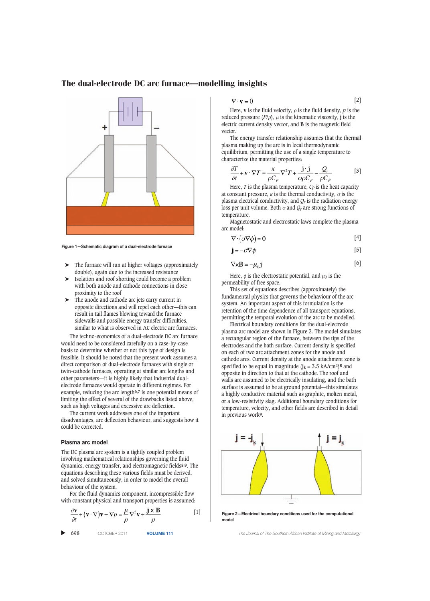

**Figure 1—Schematic diagram of a dual-electrode furnace**

- ➤ The furnace will run at higher voltages (approximately double), again due to the increased resistance
- ➤ Isolation and roof shorting could become a problem with both anode and cathode connections in close proximity to the roof
- The anode and cathode arc jets carry current in opposite directions and will repel each other—this can result in tail flames blowing toward the furnace sidewalls and possible energy transfer difficulties, similar to what is observed in AC electric arc furnaces.

The techno-economics of a dual-electrode DC arc furnace would need to be considered carefully on a case-by-case basis to determine whether or not this type of design is feasible. It should be noted that the present work assumes a direct comparison of dual-electrode furnaces with single or twin-cathode furnaces, operating at similar arc lengths and other parameters—it is highly likely that industrial dualelectrode furnaces would operate in different regimes. For example, reducing the arc length**6,7** is one potential means of limiting the effect of several of the drawbacks listed above, such as high voltages and excessive arc deflection.

The current work addresses one of the important disadvantages, arc deflection behaviour, and suggests how it could be corrected.

#### **Plasma arc model**

The DC plasma arc system is a tightly coupled problem involving mathematical relationships governing the fluid dynamics, energy transfer, and electromagnetic fields**8,9**. The equations describing these various fields must be derived, and solved simultaneously, in order to model the overall behaviour of the system.

For the fluid dynamics component, incompressible flow with constant physical and transport properties is assumed:

$$
\frac{\partial \mathbf{v}}{\partial t} + (\mathbf{v} \cdot \nabla) \mathbf{v} + \nabla p = \frac{\mu}{\rho} \nabla^2 \mathbf{v} + \frac{\mathbf{j} \times \mathbf{B}}{\rho}
$$
 [1]

▲

$$
\nabla \cdot \mathbf{v} = 0 \tag{2}
$$

Here, **v** is the fluid velocity,  $\rho$  is the fluid density,  $p$  is the reduced pressure (*P*/ρ), μ is the kinematic viscosity, **j** is the electric current density vector, and **B** is the magnetic field vector.

The energy transfer relationship assumes that the thermal plasma making up the arc is in local thermodynamic equilibrium, permitting the use of a single temperature to characterize the material properties:

$$
\frac{\partial T}{\partial t} + \mathbf{v} \cdot \nabla T = \frac{\kappa}{\rho C_p} \nabla^2 T + \frac{\mathbf{j} \cdot \mathbf{j}}{\sigma \rho C_p} - \frac{Q_r}{\rho C_p} \tag{3}
$$

Here,  $T$  is the plasma temperature,  $C_P$  is the heat capacity at constant pressure,  $\kappa$  is the thermal conductivity,  $\sigma$  is the plasma electrical conductivity, and  $Q_r$  is the radiation energy loss per unit volume. Both  $\sigma$  and  $Q_r$  are strong functions of temperature.

Magnetostatic and electrostatic laws complete the plasma arc model:

$$
\nabla \cdot (\sigma \nabla \phi) = 0 \tag{4}
$$

$$
\mathbf{j} = -\sigma \nabla \phi \tag{5}
$$

$$
\nabla \times \mathbf{B} = -u_0 \mathbf{i} \tag{6}
$$

Here,  $\phi$  is the electrostatic potential, and  $\mu_0$  is the permeability of free space.

This set of equations describes (approximately) the fundamental physics that governs the behaviour of the arc system. An important aspect of this formulation is the retention of the time dependence of all transport equations, permitting the temporal evolution of the arc to be modelled.

Electrical boundary conditions for the dual-electrode plasma arc model are shown in Figure 2. The model simulates a rectangular region of the furnace, between the tips of the electrodes and the bath surface. Current density is specified on each of two arc attachment zones for the anode and cathode arcs. Current density at the anode attachment zone is specified to be equal in magnitude  $(j_k = 3.5 \text{ kA/cm2})^8$  and opposite in direction to that at the cathode. The roof and walls are assumed to be electrically insulating, and the bath surface is assumed to be at ground potential—this simulates a highly conductive material such as graphite, molten metal, or a low-resistivity slag. Additional boundary conditions for temperature, velocity, and other fields are described in detail in previous work**9**.



**Figure 2—Electrical boundary conditions used for the computational model**

698 OCTOBER 2011 **VOLUME 111** *The Journal of The Southern African Institute of Mining and Metallurgy*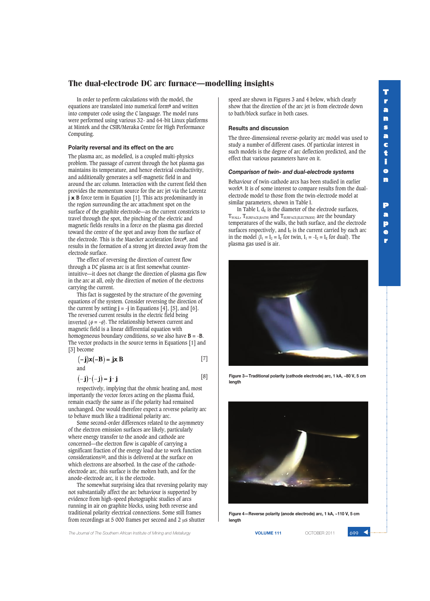In order to perform calculations with the model, the equations are translated into numerical form**9** and written into computer code using the C language. The model runs were performed using various 32- and 64-bit Linux platforms at Mintek and the CSIR/Meraka Centre for High Performance Computing.

## **Polarity reversal and its effect on the arc**

The plasma arc, as modelled, is a coupled multi-physics problem. The passage of current through the hot plasma gas maintains its temperature, and hence electrical conductivity, and additionally generates a self-magnetic field in and around the arc column. Interaction with the current field then provides the momentum source for the arc jet via the Lorentz **j x B** force term in Equation [1]. This acts predominantly in the region surrounding the arc attachment spot on the surface of the graphite electrode—as the current constricts to travel through the spot, the pinching of the electric and magnetic fields results in a force on the plasma gas directed toward the centre of the spot and away from the surface of the electrode. This is the Maecker acceleration force**8**, and results in the formation of a strong jet directed away from the electrode surface.

The effect of reversing the direction of current flow through a DC plasma arc is at first somewhat counterintuitive—it does not change the direction of plasma gas flow in the arc at all, only the direction of motion of the electrons carrying the current.

This fact is suggested by the structure of the governing equations of the system. Consider reversing the direction of the current by setting  $\mathbf{j} = -\mathbf{j}$  in Equations [4], [5], and [6]. The reversed current results in the electric field being inverted  $(\phi = -\phi)$ . The relationship between current and magnetic field is a linear differential equation with homogeneous boundary conditions, so we also have  $B = -B$ . The vector products in the source terms in Equations [1] and [3] become

$$
(-\mathbf{j})\mathbf{x}(-\mathbf{B}) = \mathbf{j}\mathbf{x}\,\mathbf{B} \tag{7}
$$

and

$$
(-\mathbf{j}) \cdot (-\mathbf{j}) = \mathbf{j} \cdot \mathbf{j} \tag{8}
$$

respectively, implying that the ohmic heating and, most importantly the vector forces acting on the plasma fluid, remain exactly the same as if the polarity had remained unchanged. One would therefore expect a reverse polarity arc to behave much like a traditional polarity arc.

Some second-order differences related to the asymmetry of the electron emission surfaces are likely, particularly where energy transfer to the anode and cathode are concerned—the electron flow is capable of carrying a significant fraction of the energy load due to work function considerations**10**, and this is delivered at the surface on which electrons are absorbed. In the case of the cathodeelectrode arc, this surface is the molten bath, and for the anode-electrode arc, it is the electrode.

The somewhat surprising idea that reversing polarity may not substantially affect the arc behaviour is supported by evidence from high-speed photographic studies of arcs running in air on graphite blocks, using both reverse and traditional polarity electrical connections. Some still frames from recordings at 5 000 frames per second and 2 μs shutter

**The Journal of The Southern African Institute of Mining and Metallurgy <b>VICUME 111 VOLUME 111 COTOBER 2011** 699

speed are shown in Figures 3 and 4 below, which clearly show that the direction of the arc jet is from electrode down to bath/block surface in both cases.

## **Results and discussion**

The three-dimensional reverse-polarity arc model was used to study a number of different cases. Of particular interest in such models is the degree of arc deflection predicted, and the effect that various parameters have on it.

#### *Comparison of twin- and dual-electrode systems*

Behaviour of twin-cathode arcs has been studied in earlier work**9**. It is of some interest to compare results from the dualelectrode model to those from the twin-electrode model at similar parameters, shown in Table I.

In Table I,  $d_E$  is the diameter of the electrode surfaces, TWALL, TSURFACE(BATH) and TSURFACE(ELECTRODE) are the boundary temperatures of the walls, the bath surface, and the electrode surfaces respectively, and  $I<sub>E</sub>$  is the current carried by each arc in the model  $(I_1 = I_2 = I_E$  for twin,  $I_1 = -I_2 = I_E$  for dual). The plasma gas used is air.



**Figure 3—Traditional polarity (cathode electrode) arc, 1 kA, ~80 V, 5 cm length**



**Figure 4—Reverse polarity (anode electrode) arc, 1 kA, ~110 V, 5 cm length**

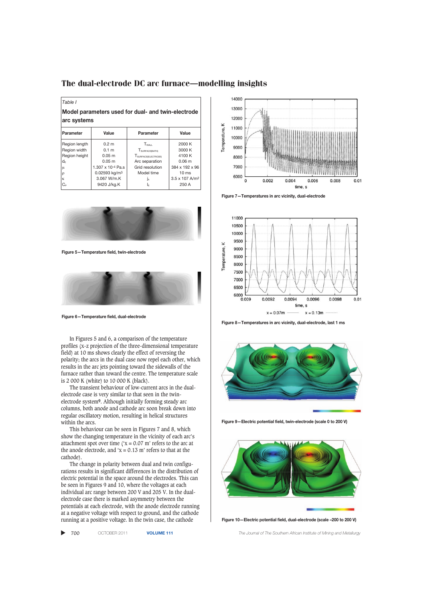*Table I* **Model parameters used for dual- and twin-electrode**

| arc systems                    |                           |                                 |                            |
|--------------------------------|---------------------------|---------------------------------|----------------------------|
| <b>Parameter</b>               | Value                     | Parameter                       | Value                      |
| Region length                  | 0.2 <sub>m</sub>          | $T_{WAI}$                       | 2000 K                     |
| Region width                   | 0.1 <sub>m</sub>          | T <sub>SURFACE(BATH)</sub>      | 3000 K                     |
| Region height                  | 0.05 <sub>m</sub>         | T <sub>SURFACE(ELECTRODE)</sub> | 4100 K                     |
| $d_{\scriptscriptstyle \rm F}$ | 0.05 <sub>m</sub>         | Arc separation                  | 0.06 <sub>m</sub>          |
| μ                              | 1.307 x 10-4 Pa.s         | Grid resolution                 | 384 x 192 x 96             |
| ρ                              | 0.02593 kg/m <sup>3</sup> | Model time                      | 10 <sub>ms</sub>           |
| К                              | 3.067 W/m.K               | Ιĸ                              | 3.5 x 107 A/m <sup>2</sup> |
| $C_{\rm P}$                    | 9420 J/kg.K               | ΙF                              | 250 A                      |



**Figure 5—Temperature field, twin-electrode**



**Figure 6—Temperature field, dual-electrode**

In Figures 5 and 6, a comparison of the temperature profiles (x-z projection of the three-dimensional temperature field) at 10 ms shows clearly the effect of reversing the polarity; the arcs in the dual case now repel each other, which results in the arc jets pointing toward the sidewalls of the furnace rather than toward the centre. The temperature scale is 2 000 K (white) to 10 000 K (black).

The transient behaviour of low-current arcs in the dualelectrode case is very similar to that seen in the twinelectrode system**9**. Although initially forming steady arc columns, both anode and cathode arc soon break down into regular oscillatory motion, resulting in helical structures within the arcs.

This behaviour can be seen in Figures 7 and 8, which show the changing temperature in the vicinity of each arc's attachment spot over time ( $x = 0.07$  m' refers to the arc at the anode electrode, and ' $x = 0.13$  m' refers to that at the cathode).

The change in polarity between dual and twin configurations results in significant differences in the distribution of electric potential in the space around the electrodes. This can be seen in Figures 9 and 10, where the voltages at each individual arc range between 200 V and 205 V. In the dualelectrode case there is marked asymmetry between the potentials at each electrode, with the anode electrode running at a negative voltage with respect to ground, and the cathode running at a positive voltage. In the twin case, the cathode

▲ 700 OCTOBER 2011 **VOLUME 111** *The Journal of The Southern African Institute of Mining and Metallurgy*



**Figure 7—Temperatures in arc vicinity, dual-electrode**



**Figure 8—Temperatures in arc vicinity, dual-electrode, last 1 ms**



**Figure 9—Electric potential field, twin-electrode (scale 0 to 200 V)**



**Figure 10—Electric potential field, dual-electrode (scale –200 to 200 V)**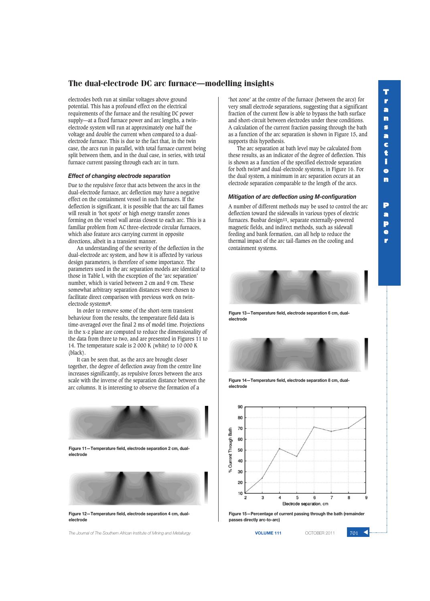electrodes both run at similar voltages above ground potential. This has a profound effect on the electrical requirements of the furnace and the resulting DC power supply—at a fixed furnace power and arc lengths, a twinelectrode system will run at approximately one half the voltage and double the current when compared to a dualelectrode furnace. This is due to the fact that, in the twin case, the arcs run in parallel, with total furnace current being split between them, and in the dual case, in series, with total furnace current passing through each arc in turn.

### *Effect of changing electrode separation*

Due to the repulsive force that acts between the arcs in the dual-electrode furnace, arc deflection may have a negative effect on the containment vessel in such furnaces. If the deflection is significant, it is possible that the arc tail flames will result in 'hot spots' or high energy transfer zones forming on the vessel wall areas closest to each arc. This is a familiar problem from AC three-electrode circular furnaces, which also feature arcs carrying current in opposite directions, albeit in a transient manner.

An understanding of the severity of the deflection in the dual-electrode arc system, and how it is affected by various design parameters, is therefore of some importance. The parameters used in the arc separation models are identical to those in Table I, with the exception of the 'arc separation' number, which is varied between 2 cm and 9 cm. These somewhat arbitrary separation distances were chosen to facilitate direct comparison with previous work on twinelectrode systems**9**.

In order to remove some of the short-term transient behaviour from the results, the temperature field data is time-averaged over the final 2 ms of model time. Projections in the x-z plane are computed to reduce the dimensionality of the data from three to two, and are presented in Figures 11 to 14. The temperature scale is 2 000 K (white) to 10 000 K (black).

It can be seen that, as the arcs are brought closer together, the degree of deflection away from the centre line increases significantly, as repulsive forces between the arcs scale with the inverse of the separation distance between the arc columns. It is interesting to observe the formation of a



**Figure 11—Temperature field, electrode separation 2 cm, dualelectrode**



**Figure 12—Temperature field, electrode separation 4 cm, dualelectrode**

**The Journal of The Southern African Institute of Mining and Metallurgy <b>VOLUME 111 VOLUME 111 COTOBER 2011 701** 

'hot zone' at the centre of the furnace (between the arcs) for very small electrode separations, suggesting that a significant fraction of the current flow is able to bypass the bath surface and short-circuit between electrodes under these conditions. A calculation of the current fraction passing through the bath as a function of the arc separation is shown in Figure 15, and supports this hypothesis.

The arc separation at bath level may be calculated from these results, as an indicator of the degree of deflection. This is shown as a function of the specified electrode separation for both twin**9** and dual-electrode systems, in Figure 16. For the dual system, a minimum in arc separation occurs at an electrode separation comparable to the length of the arcs.

## *Mitigation of arc deflection using M-configuration*

A number of different methods may be used to control the arc deflection toward the sidewalls in various types of electric furnaces. Busbar design**11**, separate externally-powered magnetic fields, and indirect methods, such as sidewall feeding and bank formation, can all help to reduce the thermal impact of the arc tail-flames on the cooling and containment systems.



**Figure 13—Temperature field, electrode separation 6 cm, dualelectrode**



**Figure 14—Temperature field, electrode separation 8 cm, dualelectrode**



**Figure 15—Percentage of current passing through the bath (remainder passes directly arc-to-arc)**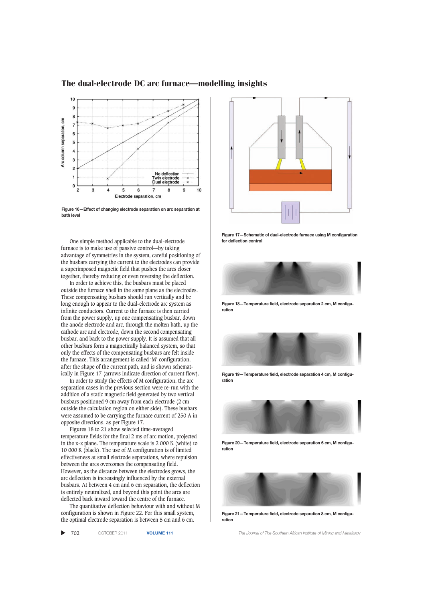

**Figure 16—Effect of changing electrode separation on arc separation at bath level**

One simple method applicable to the dual-electrode furnace is to make use of passive control—by taking advantage of symmetries in the system, careful positioning of the busbars carrying the current to the electrodes can provide a superimposed magnetic field that pushes the arcs closer together, thereby reducing or even reversing the deflection.

In order to achieve this, the busbars must be placed outside the furnace shell in the same plane as the electrodes. These compensating busbars should run vertically and be long enough to appear to the dual-electrode arc system as infinite conductors. Current to the furnace is then carried from the power supply, up one compensating busbar, down the anode electrode and arc, through the molten bath, up the cathode arc and electrode, down the second compensating busbar, and back to the power supply. It is assumed that all other busbars form a magnetically balanced system, so that only the effects of the compensating busbars are felt inside the furnace. This arrangement is called 'M' configuration, after the shape of the current path, and is shown schematically in Figure 17 (arrows indicate direction of current flow).

In order to study the effects of M configuration, the arc separation cases in the previous section were re-run with the addition of a static magnetic field generated by two vertical busbars positioned 9 cm away from each electrode (2 cm outside the calculation region on either side). These busbars were assumed to be carrying the furnace current of 250 A in opposite directions, as per Figure 17.

Figures 18 to 21 show selected time-averaged temperature fields for the final 2 ms of arc motion, projected in the x-z plane. The temperature scale is 2 000 K (white) to 10 000 K (black). The use of M configuration is of limited effectiveness at small electrode separations, where repulsion between the arcs overcomes the compensating field. However, as the distance between the electrodes grows, the arc deflection is increasingly influenced by the external busbars. At between 4 cm and 6 cm separation, the deflection is entirely neutralized, and beyond this point the arcs are deflected back inward toward the centre of the furnace.

The quantitative deflection behaviour with and without M configuration is shown in Figure 22. For this small system, the optimal electrode separation is between 5 cm and 6 cm.

 $\blacktriangleright$  702



**Figure 17—Schematic of dual-electrode furnace using M configuration for deflection control**



**Figure 18—Temperature field, electrode separation 2 cm, M configuration**



**Figure 19—Temperature field, electrode separation 4 cm, M configuration**



**Figure 20—Temperature field, electrode separation 6 cm, M configuration**



**Figure 21—Temperature field, electrode separation 8 cm, M configuration**

702 OCTOBER 2011 **VOLUME 111** *The Journal of The Southern African Institute of Mining and Metallurgy*